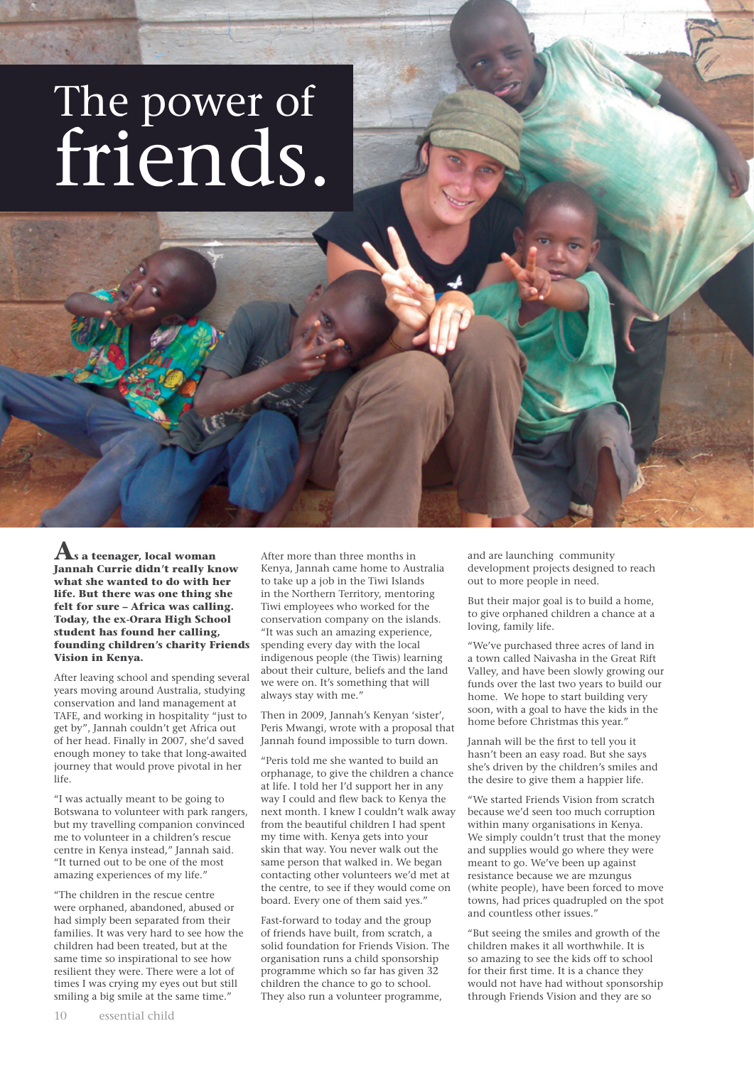## The power of friends.

**As a teenager, local woman Jannah Currie didn't really know what she wanted to do with her life. But there was one thing she felt for sure – Africa was calling. Today, the ex-Orara High School student has found her calling, founding children's charity Friends Vision in Kenya.** 

After leaving school and spending several years moving around Australia, studying conservation and land management at TAFE, and working in hospitality "just to get by", Jannah couldn't get Africa out of her head. Finally in 2007, she'd saved enough money to take that long-awaited journey that would prove pivotal in her life.

"I was actually meant to be going to Botswana to volunteer with park rangers, but my travelling companion convinced me to volunteer in a children's rescue centre in Kenya instead," Jannah said. "It turned out to be one of the most amazing experiences of my life."

"The children in the rescue centre were orphaned, abandoned, abused or had simply been separated from their families. It was very hard to see how the children had been treated, but at the same time so inspirational to see how resilient they were. There were a lot of times I was crying my eyes out but still smiling a big smile at the same time."

10 essential child

After more than three months in Kenya, Jannah came home to Australia to take up a job in the Tiwi Islands in the Northern Territory, mentoring Tiwi employees who worked for the conservation company on the islands. "It was such an amazing experience, spending every day with the local indigenous people (the Tiwis) learning about their culture, beliefs and the land we were on. It's something that will always stay with me."

Then in 2009, Jannah's Kenyan 'sister', Peris Mwangi, wrote with a proposal that Jannah found impossible to turn down.

"Peris told me she wanted to build an orphanage, to give the children a chance at life. I told her I'd support her in any way I could and flew back to Kenya the next month. I knew I couldn't walk away from the beautiful children I had spent my time with. Kenya gets into your skin that way. You never walk out the same person that walked in. We began contacting other volunteers we'd met at the centre, to see if they would come on board. Every one of them said yes."

Fast-forward to today and the group of friends have built, from scratch, a solid foundation for Friends Vision. The organisation runs a child sponsorship programme which so far has given 32 children the chance to go to school. They also run a volunteer programme,

and are launching community development projects designed to reach out to more people in need.

But their major goal is to build a home, to give orphaned children a chance at a loving, family life.

"We've purchased three acres of land in a town called Naivasha in the Great Rift Valley, and have been slowly growing our funds over the last two years to build our home. We hope to start building very soon, with a goal to have the kids in the home before Christmas this year."

Jannah will be the first to tell you it hasn't been an easy road. But she says she's driven by the children's smiles and the desire to give them a happier life.

"We started Friends Vision from scratch because we'd seen too much corruption within many organisations in Kenya. We simply couldn't trust that the money and supplies would go where they were meant to go. We've been up against resistance because we are mzungus (white people), have been forced to move towns, had prices quadrupled on the spot and countless other issues."

"But seeing the smiles and growth of the children makes it all worthwhile. It is so amazing to see the kids off to school for their first time. It is a chance they would not have had without sponsorship through Friends Vision and they are so